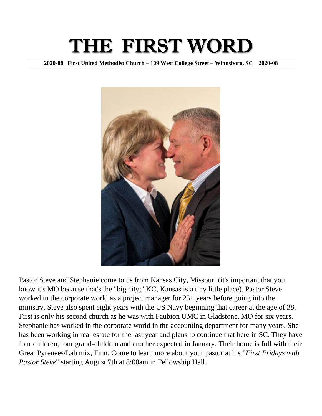# THE FIRST WORD

**2020-08 First United Methodist Church – 109 West College Street – Winnsboro, SC 2020-08**



Pastor Steve and Stephanie come to us from Kansas City, Missouri (it's important that you know it's MO because that's the "big city;" KC, Kansas is a tiny little place). Pastor Steve worked in the corporate world as a project manager for 25+ years before going into the ministry. Steve also spent eight years with the US Navy beginning that career at the age of 38. First is only his second church as he was with Faubion UMC in Gladstone, MO for six years. Stephanie has worked in the corporate world in the accounting department for many years. She has been working in real estate for the last year and plans to continue that here in SC. They have four children, four grand-children and another expected in January. Their home is full with their Great Pyrenees/Lab mix, Finn. Come to learn more about your pastor at his "*First Fridays with Pastor Steve*" starting August 7th at 8:00am in Fellowship Hall.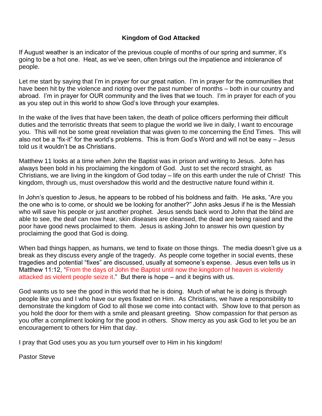#### **Kingdom of God Attacked**

If August weather is an indicator of the previous couple of months of our spring and summer, it's going to be a hot one. Heat, as we've seen, often brings out the impatience and intolerance of people.

Let me start by saying that I'm in prayer for our great nation. I'm in prayer for the communities that have been hit by the violence and rioting over the past number of months – both in our country and abroad. I'm in prayer for OUR community and the lives that we touch. I'm in prayer for each of you as you step out in this world to show God's love through your examples.

In the wake of the lives that have been taken, the death of police officers performing their difficult duties and the terroristic threats that seem to plague the world we live in daily, I want to encourage you. This will not be some great revelation that was given to me concerning the End Times. This will also not be a "fix-it" for the world's problems. This is from God's Word and will not be easy – Jesus told us it wouldn't be as Christians.

Matthew 11 looks at a time when John the Baptist was in prison and writing to Jesus. John has always been bold in his proclaiming the kingdom of God. Just to set the record straight, as Christians, we are living in the kingdom of God today – life on this earth under the rule of Christ! This kingdom, through us, must overshadow this world and the destructive nature found within it.

In John's question to Jesus, he appears to be robbed of his boldness and faith. He asks, "Are you the one who is to come, or should we be looking for another?" John asks Jesus if he is the Messiah who will save his people or just another prophet. Jesus sends back word to John that the blind are able to see, the deaf can now hear, skin diseases are cleansed, the dead are being raised and the poor have good news proclaimed to them. Jesus is asking John to answer his own question by proclaiming the good that God is doing.

When bad things happen, as humans, we tend to fixate on those things. The media doesn't give us a break as they discuss every angle of the tragedy. As people come together in social events, these tragedies and potential "fixes" are discussed, usually at someone's expense. Jesus even tells us in Matthew 11:12, "From the days of John the Baptist until now the kingdom of heaven is violently attacked as violent people seize it." But there is hope – and it begins with us.

God wants us to see the good in this world that he is doing. Much of what he is doing is through people like you and I who have our eyes fixated on Him. As Christians, we have a responsibility to demonstrate the kingdom of God to all those we come into contact with. Show love to that person as you hold the door for them with a smile and pleasant greeting. Show compassion for that person as you offer a compliment looking for the good in others. Show mercy as you ask God to let you be an encouragement to others for Him that day.

I pray that God uses you as you turn yourself over to Him in his kingdom!

Pastor Steve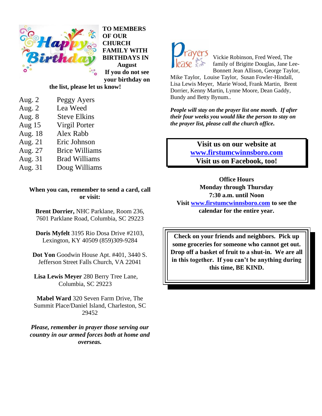

**TO MEMBERS OF OUR CHURCH FAMILY WITH BIRTHDAYS IN August If you do not see your birthday on** 

#### **the list, please let us know!**

- Aug. 2 Peggy Ayers
- Aug. 2 Lea Weed
- Aug. 8 Steve Elkins Aug 15 Virgil Porter
- Aug. 18 Alex Rabb
- Aug. 21 Eric Johnson
- Aug. 27 Brice Williams
- Aug. 31 Brad Williams
- Aug. 31 Doug Williams

**When you can, remember to send a card, call or visit:**

**Brent Dorrier,** NHC Parklane, Room 236, 7601 Parklane Road, Columbia, SC 29223

**Doris Myfelt** 3195 Rio Dosa Drive #2103, Lexington, KY 40509 (859)309-9284

**Dot Yon** Goodwin House Apt. #401, 3440 S. Jefferson Street Falls Church, VA 22041

**Lisa Lewis Meyer** 280 Berry Tree Lane, Columbia, SC 29223

**Mabel Ward** 320 Seven Farm Drive, The Summit Place/Daniel Island, Charleston, SC 29452

*Please, remember in prayer those serving our country in our armed forces both at home and overseas.*



Vickie Robinson, Fred Weed, The family of Brigitte Douglas, Jane Lee-Bonnett Jean Allison, George Taylor,

Mike Taylor, Louise Taylor, Susan Fowler-Hindall, Lisa Lewis Meyer, Marie Wood, Frank Martin, Brent Dorrier, Kenny Martin, Lynne Moore, Dean Gaddy, Bundy and Betty Bynum..

*People will stay on the prayer list one month. If after their four weeks you would like the person to stay on the prayer list, please call the church office.*

> **Visit us on our website at [www.firstumcwinnsboro.com](http://www.firstumcwinnsboro.com/) Visit us on Facebook, too!**

**Office Hours Monday through Thursday 7:30 a.m. until Noon Visit [www.firstumcwinnsboro.com](http://www.firstumcwinnsboro.com/) to see the calendar for the entire year.**

**Check on your friends and neighbors. Pick up some groceries for someone who cannot get out. Drop off a basket of fruit to a shut-in. We are all in this together. If you can't be anything during this time, BE KIND.**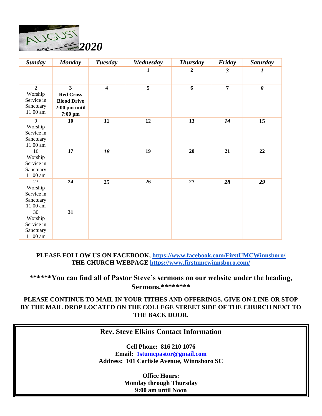

| <b>Sunday</b>                                                      | <b>Monday</b>                                                                                            | <b>Tuesday</b>          | Wednesday | <b>Thursday</b> | Friday         | <b>Saturday</b>  |
|--------------------------------------------------------------------|----------------------------------------------------------------------------------------------------------|-------------------------|-----------|-----------------|----------------|------------------|
|                                                                    |                                                                                                          |                         | 1         | 2               | $\mathfrak{z}$ | $\boldsymbol{l}$ |
| $\overline{2}$<br>Worship<br>Service in<br>Sanctuary<br>$11:00$ am | $\overline{\mathbf{3}}$<br><b>Red Cross</b><br><b>Blood Drive</b><br>$2:00~\mathrm{pm}$ until<br>7:00 pm | $\overline{\mathbf{4}}$ | 5         | 6               | $\overline{7}$ | 8                |
| 9<br>Worship<br>Service in<br>Sanctuary<br>$11:00$ am              | 10                                                                                                       | 11                      | 12        | 13              | 14             | 15               |
| 16<br>Worship<br>Service in<br>Sanctuary<br>$11:00$ am             | 17                                                                                                       | 18                      | 19        | 20              | 21             | 22               |
| 23<br>Worship<br>Service in<br>Sanctuary<br>$11:00$ am             | 24                                                                                                       | 25                      | 26        | 27              | 28             | 29               |
| 30<br>Worship<br>Service in<br>Sanctuary<br>$11:00$ am             | 31                                                                                                       |                         |           |                 |                |                  |

**PLEASE FOLLOW US ON FACEBOOK,<https://www.facebook.com/FirstUMCWinnsboro/> THE CHURCH WEBPAGE<https://www.firstumcwinnsboro.com/>**

#### **\*\*\*\*\*\*You can find all of Pastor Steve's sermons on our website under the heading, Sermons.\*\*\*\*\*\*\*\***

#### **PLEASE CONTINUE TO MAIL IN YOUR TITHES AND OFFERINGS, GIVE ON-LINE OR STOP BY THE MAIL DROP LOCATED ON THE COLLEGE STREET SIDE OF THE CHURCH NEXT TO THE BACK DOOR.**

### **Rev. Steve Elkins Contact Information**

**Cell Phone: 816 210 1076 Email: [1stumcpastor@gmail.com](mailto:1stumcpastor@gmail.com) Address: 101 Carlisle Avenue, Winnsboro SC**

> **Office Hours: Monday through Thursday 9:00 am until Noon**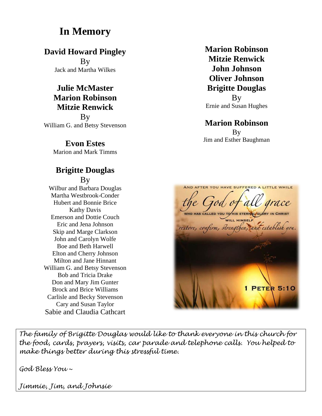# **In Memory**

**David Howard Pingley**

By Jack and Martha Wilkes

# **Julie McMaster Marion Robinson Mitzie Renwick**

**B**<sub>V</sub> William G. and Betsy Stevenson

**Evon Estes**

Marion and Mark Timms

## **Brigitte Douglas** By

Wilbur and Barbara Douglas Martha Westbrook-Conder Hubert and Bonnie Brice Kathy Davis Emerson and Dottie Couch Eric and Jena Johnson Skip and Marge Clarkson John and Carolyn Wolfe Boe and Beth Harwell Elton and Cherry Johnson Milton and Jane Hinnant William G. and Betsy Stevenson Bob and Tricia Drake Don and Mary Jim Gunter Brock and Brice Williams Carlisle and Becky Stevenson Cary and Susan Taylor Sabie and Claudia Cathcart

**Marion Robinson Mitzie Renwick John Johnson Oliver Johnson Brigitte Douglas**

By Ernie and Susan Hughes

## **Marion Robinson** By Jim and Esther Baughman



*The family of Brigitte Douglas would like to thank everyone in this church for the food, cards, prayers, visits, car parade and telephone calls. You helped to make things better during this stressful time.* 

*God Bless You ~*

*Jimmie, Jim, and Johnsie*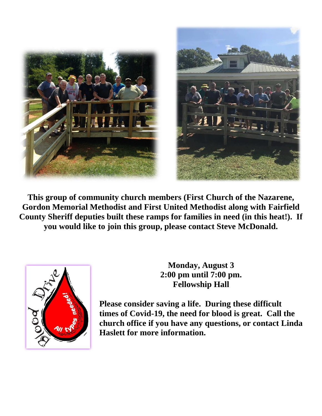

**This group of community church members (First Church of the Nazarene, Gordon Memorial Methodist and First United Methodist along with Fairfield County Sheriff deputies built these ramps for families in need (in this heat!). If you would like to join this group, please contact Steve McDonald.**



**Monday, August 3 2:00 pm until 7:00 pm. Fellowship Hall**

**Please consider saving a life. During these difficult times of Covid-19, the need for blood is great. Call the church office if you have any questions, or contact Linda Haslett for more information.**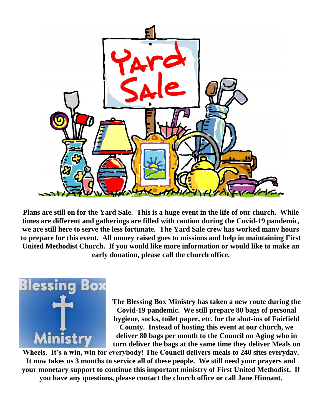

**Plans are still on for the Yard Sale. This is a huge event in the life of our church. While times are different and gatherings are filled with caution during the Covid-19 pandemic, we are still here to serve the less fortunate. The Yard Sale crew has worked many hours to prepare for this event. All money raised goes to missions and help in maintaining First United Methodist Church. If you would like more information or would like to make an early donation, please call the church office.** 



**The Blessing Box Ministry has taken a new route during the Covid-19 pandemic. We still prepare 80 bags of personal hygiene, socks, toilet paper, etc. for the shut-ins of Fairfield** 

**County. Instead of hosting this event at our church, we deliver 80 bags per month to the Council on Aging who in turn deliver the bags at the same time they deliver Meals on** 

**Wheels. It's a win, win for everybody! The Council delivers meals to 240 sites everyday. It now takes us 3 months to service all of these people. We still need your prayers and your monetary support to continue this important ministry of First United Methodist. If you have any questions, please contact the church office or call Jane Hinnant.**